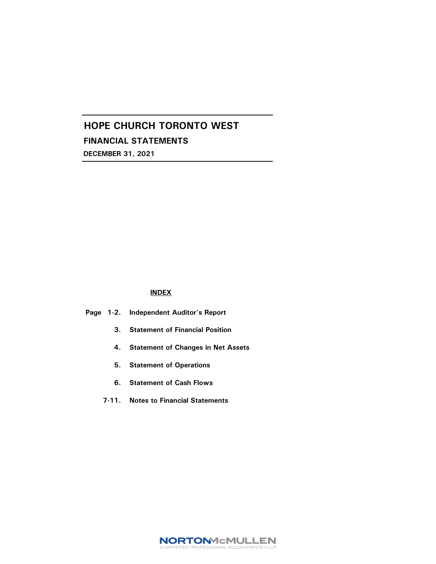# HOPE CHURCH TORONTO WEST FINANCIAL STATEMENTS DECEMBER 31, 2021

## INDEX

- Page 1-2. Independent Auditor's Report
	- 3. Statement of Financial Position
	- 4. Statement of Changes in Net Assets
	- 5. Statement of Operations
	- 6. Statement of Cash Flows
	- 7-11. Notes to Financial Statements

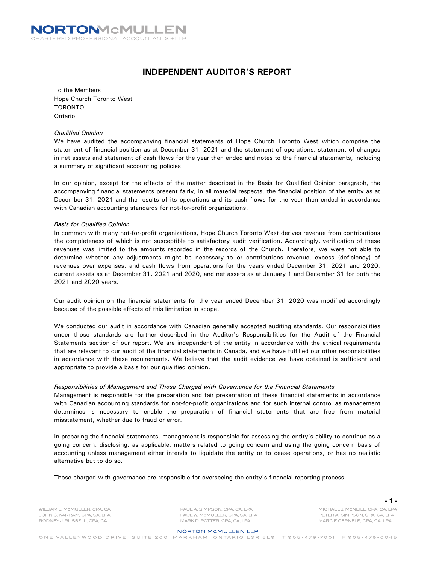

## INDEPENDENT AUDITOR'S REPORT

To the Members Hope Church Toronto West TORONTO Ontario

#### Qualified Opinion

We have audited the accompanying financial statements of Hope Church Toronto West which comprise the statement of financial position as at December 31, 2021 and the statement of operations, statement of changes in net assets and statement of cash flows for the year then ended and notes to the financial statements, including a summary of significant accounting policies.

In our opinion, except for the effects of the matter described in the Basis for Qualified Opinion paragraph, the accompanying financial statements present fairly, in all material respects, the financial position of the entity as at December 31, 2021 and the results of its operations and its cash flows for the year then ended in accordance with Canadian accounting standards for not-for-profit organizations.

#### Basis for Qualified Opinion

In common with many not-for-profit organizations, Hope Church Toronto West derives revenue from contributions the completeness of which is not susceptible to satisfactory audit verification. Accordingly, verification of these revenues was limited to the amounts recorded in the records of the Church. Therefore, we were not able to determine whether any adjustments might be necessary to or contributions revenue, excess (deficiency) of revenues over expenses, and cash flows from operations for the years ended December 31, 2021 and 2020, current assets as at December 31, 2021 and 2020, and net assets as at January 1 and December 31 for both the 2021 and 2020 years.

Our audit opinion on the financial statements for the year ended December 31, 2020 was modified accordingly because of the possible effects of this limitation in scope.

We conducted our audit in accordance with Canadian generally accepted auditing standards. Our responsibilities under those standards are further described in the Auditor's Responsibilities for the Audit of the Financial Statements section of our report. We are independent of the entity in accordance with the ethical requirements that are relevant to our audit of the financial statements in Canada, and we have fulfilled our other responsibilities in accordance with these requirements. We believe that the audit evidence we have obtained is sufficient and appropriate to provide a basis for our qualified opinion.

#### Responsibilities of Management and Those Charged with Governance for the Financial Statements

Management is responsible for the preparation and fair presentation of these financial statements in accordance with Canadian accounting standards for not-for-profit organizations and for such internal control as management determines is necessary to enable the preparation of financial statements that are free from material misstatement, whether due to fraud or error.

In preparing the financial statements, management is responsible for assessing the entity's ability to continue as a going concern, disclosing, as applicable, matters related to going concern and using the going concern basis of accounting unless management either intends to liquidate the entity or to cease operations, or has no realistic alternative but to do so.

Those charged with governance are responsible for overseeing the entity's financial reporting process.

WILLIAM L. MCMULLEN, CPA, CA JOHN C. KARRAM, CPA, CA, LPA ĺ

PAUL A. SIMPSON, CPA, CA, LPA PAUL W. MCMULLEN, CPA, CA, LPA MARK D. POTTER, CPA, CA, LPA

**- 1 -** MICHAEL J. MCNEILL, CPA, CA, LPA PETER A. SIMPSON, CPA, CA, LPA MARC F. CERNELE, CPA, CA, LPA

**NORTON MCMULLEN LLP**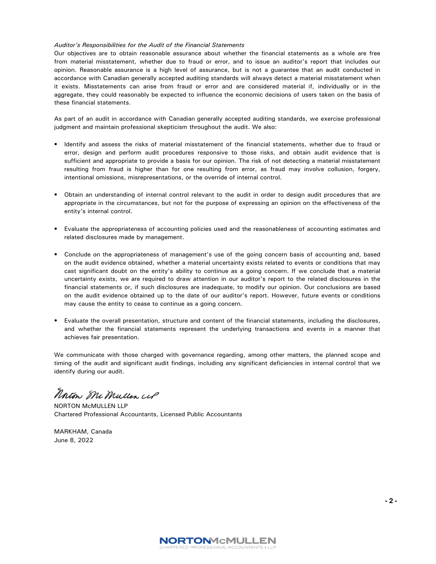#### Auditor's Responsibilities for the Audit of the Financial Statements

Our objectives are to obtain reasonable assurance about whether the financial statements as a whole are free from material misstatement, whether due to fraud or error, and to issue an auditor's report that includes our opinion. Reasonable assurance is a high level of assurance, but is not a guarantee that an audit conducted in accordance with Canadian generally accepted auditing standards will always detect a material misstatement when it exists. Misstatements can arise from fraud or error and are considered material if, individually or in the aggregate, they could reasonably be expected to influence the economic decisions of users taken on the basis of these financial statements.

As part of an audit in accordance with Canadian generally accepted auditing standards, we exercise professional judgment and maintain professional skepticism throughout the audit. We also:

- Identify and assess the risks of material misstatement of the financial statements, whether due to fraud or error, design and perform audit procedures responsive to those risks, and obtain audit evidence that is sufficient and appropriate to provide a basis for our opinion. The risk of not detecting a material misstatement resulting from fraud is higher than for one resulting from error, as fraud may involve collusion, forgery, intentional omissions, misrepresentations, or the override of internal control.
- Obtain an understanding of internal control relevant to the audit in order to design audit procedures that are appropriate in the circumstances, but not for the purpose of expressing an opinion on the effectiveness of the entity's internal control.
- Evaluate the appropriateness of accounting policies used and the reasonableness of accounting estimates and related disclosures made by management.
- Conclude on the appropriateness of management's use of the going concern basis of accounting and, based on the audit evidence obtained, whether a material uncertainty exists related to events or conditions that may cast significant doubt on the entity's ability to continue as a going concern. If we conclude that a material uncertainty exists, we are required to draw attention in our auditor's report to the related disclosures in the financial statements or, if such disclosures are inadequate, to modify our opinion. Our conclusions are based on the audit evidence obtained up to the date of our auditor's report. However, future events or conditions may cause the entity to cease to continue as a going concern.
- Evaluate the overall presentation, structure and content of the financial statements, including the disclosures, and whether the financial statements represent the underlying transactions and events in a manner that achieves fair presentation.

We communicate with those charged with governance regarding, among other matters, the planned scope and timing of the audit and significant audit findings, including any significant deficiencies in internal control that we identify during our audit.

Norton Mr Muller UP

NORTON McMULLEN LLP Chartered Professional Accountants, Licensed Public Accountants

MARKHAM, Canada June 8, 2022

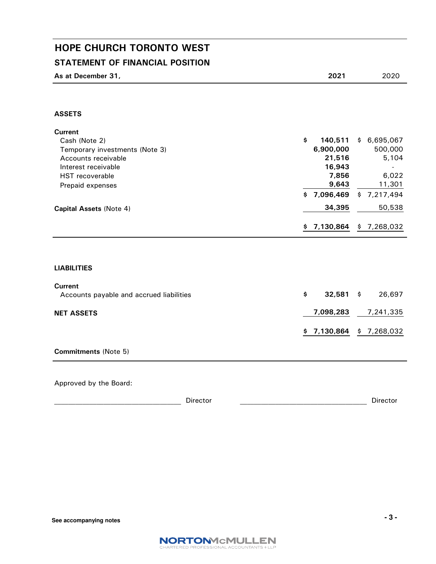# HOPE CHURCH TORONTO WEST STATEMENT OF FINANCIAL POSITION

As at December 31, 2020 2021 2020

## ASSETS

| <b>Current</b>                           |     |             |      |             |
|------------------------------------------|-----|-------------|------|-------------|
| Cash (Note 2)                            | \$  | 140,511     | \$   | 6,695,067   |
| Temporary investments (Note 3)           |     | 6,900,000   |      | 500,000     |
| Accounts receivable                      |     | 21,516      |      | 5,104       |
| Interest receivable                      |     | 16,943      |      |             |
| <b>HST</b> recoverable                   |     | 7,856       |      | 6,022       |
| Prepaid expenses                         |     | 9,643       |      | 11,301      |
|                                          |     | \$7,096,469 |      | \$7,217,494 |
| Capital Assets (Note 4)                  |     | 34,395      |      | 50,538      |
|                                          | \$. | 7,130,864   |      | \$7,268,032 |
|                                          |     |             |      |             |
| <b>LIABILITIES</b>                       |     |             |      |             |
| <b>Current</b>                           |     |             |      |             |
| Accounts payable and accrued liabilities | \$  | 32,581      | - \$ | 26,697      |
| <b>NET ASSETS</b>                        |     | 7,098,283   |      | 7,241,335   |
|                                          |     | \$7,130,864 |      | \$7,268,032 |
| Commitments (Note 5)                     |     |             |      |             |
|                                          |     |             |      |             |

Approved by the Board:

\_\_\_\_\_\_\_\_\_\_\_\_\_\_\_\_\_\_\_\_\_\_\_\_\_\_\_\_\_\_\_\_\_\_\_\_ Director \_\_\_\_\_\_\_\_\_\_\_\_\_\_\_\_\_\_\_\_\_\_\_\_\_\_\_\_\_\_\_\_\_\_\_\_ Director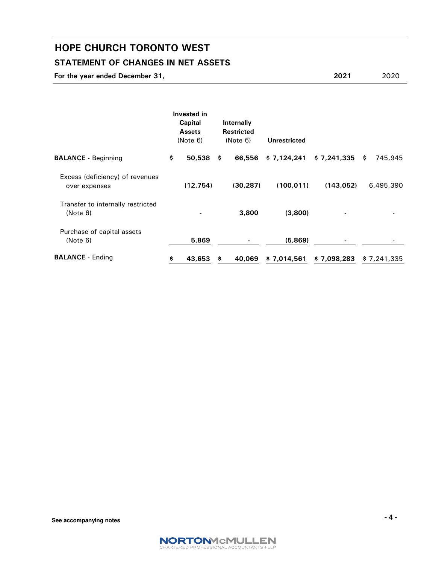## STATEMENT OF CHANGES IN NET ASSETS

For the year ended December 31, 2021 2020

|                                                  | Invested in<br>Capital<br><b>Assets</b><br>(Note 6) | Internally<br><b>Restricted</b><br>(Note 6) | <b>Unrestricted</b> |             |               |
|--------------------------------------------------|-----------------------------------------------------|---------------------------------------------|---------------------|-------------|---------------|
| <b>BALANCE</b> - Beginning                       | \$<br>$50.538$ \$                                   | 66,556                                      | \$7,124,241         | \$7,241,335 | 745,945<br>\$ |
| Excess (deficiency) of revenues<br>over expenses | (12, 754)                                           | (30, 287)                                   | (100, 011)          | (143.052)   | 6,495,390     |
| Transfer to internally restricted<br>(Note 6)    |                                                     | 3,800                                       | (3,800)             |             |               |
| Purchase of capital assets<br>(Note 6)           | 5,869                                               |                                             | (5,869)             |             |               |
| <b>BALANCE - Ending</b>                          | \$<br>43,653                                        | \$<br>40,069                                | \$7,014,561         | \$7,098,283 | \$7,241,335   |

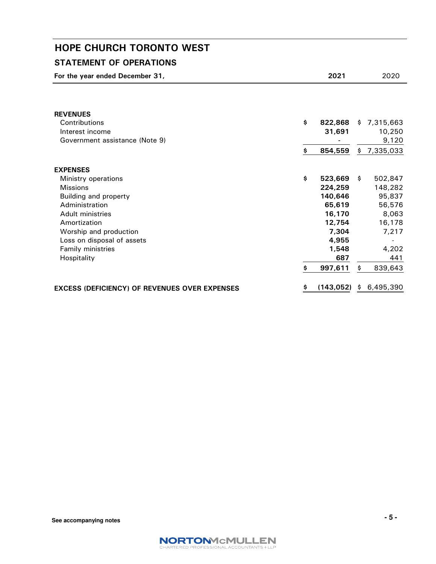## STATEMENT OF OPERATIONS

For the year ended December 31, 2020 2021 2020

| <b>REVENUES</b>                                      |                  |    |             |
|------------------------------------------------------|------------------|----|-------------|
| Contributions                                        | \$<br>822,868    |    | \$7,315,663 |
| Interest income                                      | 31,691           |    | 10,250      |
| Government assistance (Note 9)                       |                  |    | 9,120       |
|                                                      | \$<br>854,559    | \$ | 7,335,033   |
| <b>EXPENSES</b>                                      |                  |    |             |
| Ministry operations                                  | \$<br>523,669    | Ŝ. | 502,847     |
| <b>Missions</b>                                      | 224,259          |    | 148,282     |
| Building and property                                | 140,646          |    | 95,837      |
| Administration                                       | 65,619           |    | 56,576      |
| Adult ministries                                     | 16,170           |    | 8,063       |
| Amortization                                         | 12,754           |    | 16,178      |
| Worship and production                               | 7,304            |    | 7,217       |
| Loss on disposal of assets                           | 4,955            |    |             |
| <b>Family ministries</b>                             | 1,548            |    | 4,202       |
| Hospitality                                          | 687              |    | 441         |
|                                                      | \$<br>997,611    | \$ | 839,643     |
| <b>EXCESS (DEFICIENCY) OF REVENUES OVER EXPENSES</b> | \$<br>(143, 052) |    | \$6,495,390 |

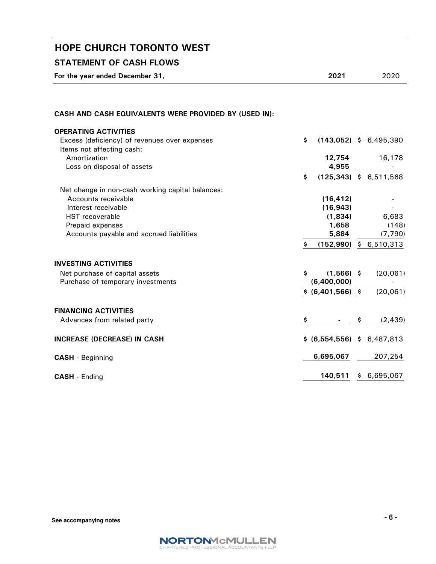## STATEMENT OF CASH FLOWS

For the year ended December 31, 2020 2021 2020

## CASH AND CASH EQUIVALENTS WERE PROVIDED BY (USED IN):

| <b>OPERATING ACTIVITIES</b>                      |     |                               |                          |
|--------------------------------------------------|-----|-------------------------------|--------------------------|
| Excess (deficiency) of revenues over expenses    | \$  |                               | $(143,052)$ \$ 6,495,390 |
| Items not affecting cash:                        |     |                               |                          |
| Amortization                                     |     | 12,754                        | 16,178                   |
| Loss on disposal of assets                       |     | 4,955                         |                          |
|                                                  | \$  |                               | $(125,343)$ \$ 6,511,568 |
| Net change in non-cash working capital balances: |     |                               |                          |
| Accounts receivable                              |     | (16, 412)                     |                          |
| Interest receivable                              |     | (16, 943)                     |                          |
| <b>HST</b> recoverable                           |     | (1,834)                       | 6,683                    |
| Prepaid expenses                                 |     | 1,658                         | (148)                    |
| Accounts payable and accrued liabilities         |     | 5,884                         | (7, 790)                 |
|                                                  | \$. |                               | $(152,990)$ \$ 6,510,313 |
| <b>INVESTING ACTIVITIES</b>                      |     |                               |                          |
| Net purchase of capital assets                   | \$  | $(1,566)$ \$                  | (20, 061)                |
| Purchase of temporary investments                |     | (6,400,000)                   |                          |
|                                                  |     | $$ (6,401,566)$ \$            | (20, 061)                |
| <b>FINANCING ACTIVITIES</b>                      |     |                               |                          |
| Advances from related party                      | \$  |                               | \$<br>(2, 439)           |
|                                                  |     |                               |                          |
| <b>INCREASE (DECREASE) IN CASH</b>               |     | $$$ (6,554,556) $$$ 6,487,813 |                          |
| <b>CASH</b> - Beginning                          |     | 6,695,067                     | 207,254                  |
|                                                  |     |                               |                          |
| <b>CASH</b> - Ending                             |     | 140,511                       | \$6,695,067              |

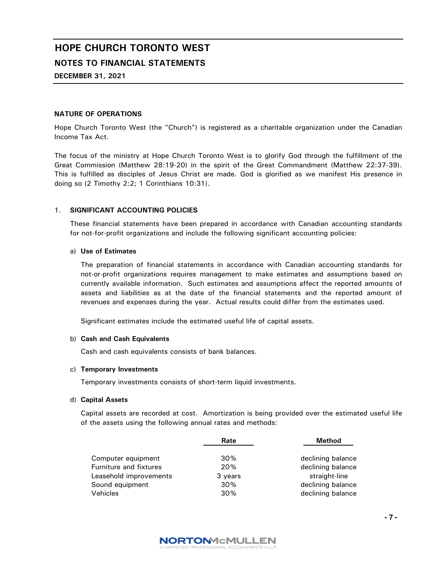## NOTES TO FINANCIAL STATEMENTS

DECEMBER 31, 2021

## NATURE OF OPERATIONS

Hope Church Toronto West (the "Church") is registered as a charitable organization under the Canadian Income Tax Act.

The focus of the ministry at Hope Church Toronto West is to glorify God through the fulfillment of the Great Commission (Matthew 28:19-20) in the spirit of the Great Commandment (Matthew 22:37-39). This is fulfilled as disciples of Jesus Christ are made. God is glorified as we manifest His presence in doing so (2 Timothy 2:2; 1 Corinthians 10:31).

## 1. SIGNIFICANT ACCOUNTING POLICIES

These financial statements have been prepared in accordance with Canadian accounting standards for not-for-profit organizations and include the following significant accounting policies:

## a) Use of Estimates

The preparation of financial statements in accordance with Canadian accounting standards for not-or-profit organizations requires management to make estimates and assumptions based on currently available information. Such estimates and assumptions affect the reported amounts of assets and liabilities as at the date of the financial statements and the reported amount of revenues and expenses during the year. Actual results could differ from the estimates used.

Significant estimates include the estimated useful life of capital assets.

## b) Cash and Cash Equivalents

Cash and cash equivalents consists of bank balances.

## c) Temporary Investments

Temporary investments consists of short-term liquid investments.

## d) Capital Assets

Capital assets are recorded at cost. Amortization is being provided over the estimated useful life of the assets using the following annual rates and methods:

|                        | Rate    | Method            |
|------------------------|---------|-------------------|
| Computer equipment     | 30%     | declining balance |
| Furniture and fixtures | 20%     | declining balance |
| Leasehold improvements | 3 years | straight-line     |
| Sound equipment        | 30%     | declining balance |
| Vehicles               | 30%     | declining balance |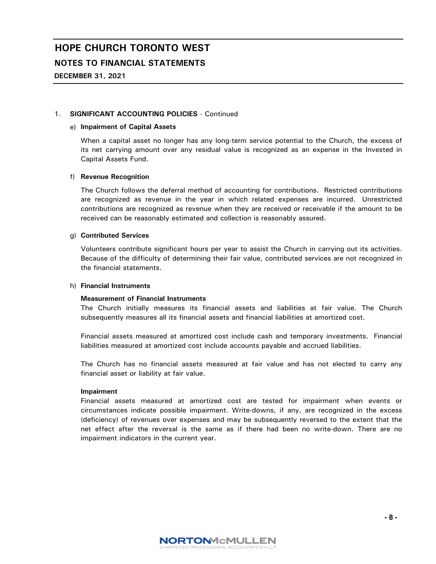## NOTES TO FINANCIAL STATEMENTS

DECEMBER 31, 2021

## 1. SIGNIFICANT ACCOUNTING POLICIES - Continued

## e) Impairment of Capital Assets

When a capital asset no longer has any long-term service potential to the Church, the excess of its net carrying amount over any residual value is recognized as an expense in the Invested in Capital Assets Fund.

## f) Revenue Recognition

The Church follows the deferral method of accounting for contributions. Restricted contributions are recognized as revenue in the year in which related expenses are incurred. Unrestricted contributions are recognized as revenue when they are received or receivable if the amount to be received can be reasonably estimated and collection is reasonably assured.

## g) Contributed Services

Volunteers contribute significant hours per year to assist the Church in carrying out its activities. Because of the difficulty of determining their fair value, contributed services are not recognized in the financial statements.

## h) Financial Instruments

## Measurement of Financial Instruments

The Church initially measures its financial assets and liabilities at fair value. The Church subsequently measures all its financial assets and financial liabilities at amortized cost.

Financial assets measured at amortized cost include cash and temporary investments. Financial liabilities measured at amortized cost include accounts payable and accrued liabilities.

The Church has no financial assets measured at fair value and has not elected to carry any financial asset or liability at fair value.

## Impairment

Financial assets measured at amortized cost are tested for impairment when events or circumstances indicate possible impairment. Write-downs, if any, are recognized in the excess (deficiency) of revenues over expenses and may be subsequently reversed to the extent that the net effect after the reversal is the same as if there had been no write-down. There are no impairment indicators in the current year.

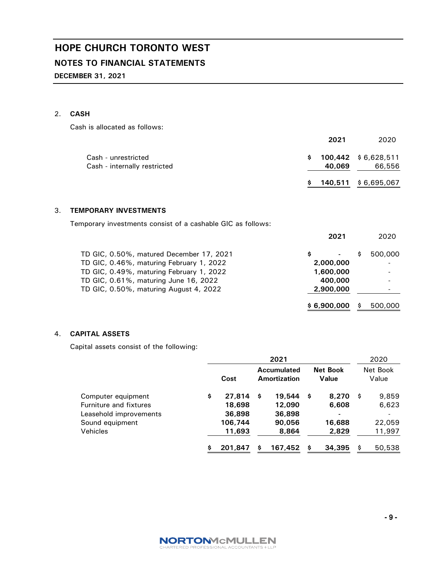# HOPE CHURCH TORONTO WEST NOTES TO FINANCIAL STATEMENTS

DECEMBER 31, 2021

## 2. CASH

Cash is allocated as follows:

|                                                     | 2021   | 2020                              |
|-----------------------------------------------------|--------|-----------------------------------|
| Cash - unrestricted<br>Cash - internally restricted | 40,069 | $$100,442$ $$6,628,511$<br>66,556 |
|                                                     |        | 140,511 \$6,695,067               |

## 3. TEMPORARY INVESTMENTS

Temporary investments consist of a cashable GIC as follows:

|                                          | 2021        |    | 2020    |
|------------------------------------------|-------------|----|---------|
| TD GIC, 0.50%, matured December 17, 2021 | s<br>۰      | S. | 500,000 |
| TD GIC, 0.46%, maturing February 1, 2022 | 2,000,000   |    |         |
| TD GIC, 0.49%, maturing February 1, 2022 | 1,600,000   |    |         |
| TD GIC, 0.61%, maturing June 16, 2022    | 400,000     |    | ۰       |
| TD GIC, 0.50%, maturing August 4, 2022   | 2,900,000   |    |         |
|                                          | \$6.900.000 |    | 500,000 |

## 4. CAPITAL ASSETS

Capital assets consist of the following:

|                               |               |    | 2021                                      |    |                          |     | 2020              |
|-------------------------------|---------------|----|-------------------------------------------|----|--------------------------|-----|-------------------|
|                               | Cost          |    | <b>Accumulated</b><br><b>Amortization</b> |    | <b>Net Book</b><br>Value |     | Net Book<br>Value |
| Computer equipment            | \$<br>27,814  | \$ | 19,544                                    | \$ | 8,270                    | \$. | 9,859             |
| <b>Furniture and fixtures</b> | 18,698        |    | 12,090                                    |    | 6,608                    |     | 6,623             |
| Leasehold improvements        | 36,898        |    | 36,898                                    |    | ۰                        |     |                   |
| Sound equipment               | 106,744       |    | 90,056                                    |    | 16,688                   |     | 22,059            |
| Vehicles                      | 11,693        |    | 8,864                                     |    | 2,829                    |     | 11,997            |
|                               | \$<br>201.847 | s  | 167,452                                   | s  | 34,395                   | \$  | 50,538            |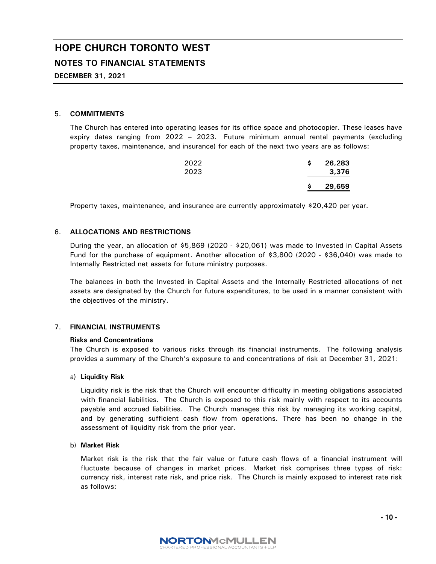# HOPE CHURCH TORONTO WEST NOTES TO FINANCIAL STATEMENTS

DECEMBER 31, 2021

## 5. COMMITMENTS

The Church has entered into operating leases for its office space and photocopier. These leases have expiry dates ranging from 2022 – 2023. Future minimum annual rental payments (excluding property taxes, maintenance, and insurance) for each of the next two years are as follows:

| 2022<br>2023 | s  | 26,283<br>3,376 |
|--------------|----|-----------------|
|              | Ŝ. | 29,659          |

Property taxes, maintenance, and insurance are currently approximately \$20,420 per year.

## 6. ALLOCATIONS AND RESTRICTIONS

During the year, an allocation of \$5,869 (2020 - \$20,061) was made to Invested in Capital Assets Fund for the purchase of equipment. Another allocation of \$3,800 (2020 - \$36,040) was made to Internally Restricted net assets for future ministry purposes.

The balances in both the Invested in Capital Assets and the Internally Restricted allocations of net assets are designated by the Church for future expenditures, to be used in a manner consistent with the objectives of the ministry.

## 7. FINANCIAL INSTRUMENTS

### Risks and Concentrations

The Church is exposed to various risks through its financial instruments. The following analysis provides a summary of the Church's exposure to and concentrations of risk at December 31, 2021:

### a) Liquidity Risk

Liquidity risk is the risk that the Church will encounter difficulty in meeting obligations associated with financial liabilities. The Church is exposed to this risk mainly with respect to its accounts payable and accrued liabilities. The Church manages this risk by managing its working capital, and by generating sufficient cash flow from operations. There has been no change in the assessment of liquidity risk from the prior year.

### b) Market Risk

Market risk is the risk that the fair value or future cash flows of a financial instrument will fluctuate because of changes in market prices. Market risk comprises three types of risk: currency risk, interest rate risk, and price risk. The Church is mainly exposed to interest rate risk as follows: